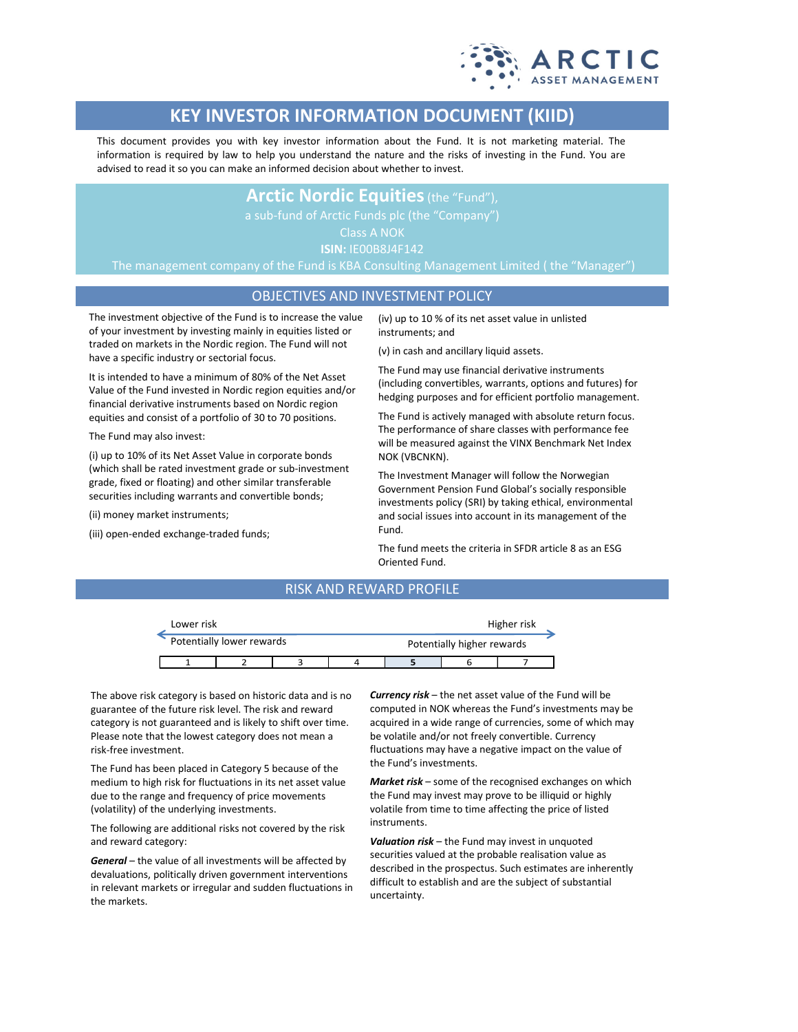

# **KEY INVESTOR INFORMATION DOCUMENT (KIID)**

This document provides you with key investor information about the Fund. It is not marketing material. The information is required by law to help you understand the nature and the risks of investing in the Fund. You are advised to read it so you can make an informed decision about whether to invest.

## **Arctic Nordic Equities**(the "Fund"),

Class A NOK

**ISIN:** IE00B8J4F142

The management company of the Fund is KBA Consulting Management Limited ( the "Manager")

### OBJECTIVES AND INVESTMENT POLICY

The investment objective of the Fund is to increase the value of your investment by investing mainly in equities listed or traded on markets in the Nordic region. The Fund will not have a specific industry or sectorial focus.

It is intended to have a minimum of 80% of the Net Asset Value of the Fund invested in Nordic region equities and/or financial derivative instruments based on Nordic region equities and consist of a portfolio of 30 to 70 positions.

The Fund may also invest:

(i) up to 10% of its Net Asset Value in corporate bonds (which shall be rated investment grade or sub-investment grade, fixed or floating) and other similar transferable securities including warrants and convertible bonds;

(ii) money market instruments;

(iii) open-ended exchange-traded funds;

(iv) up to 10 % of its net asset value in unlisted instruments; and

(v) in cash and ancillary liquid assets.

The Fund may use financial derivative instruments (including convertibles, warrants, options and futures) for hedging purposes and for efficient portfolio management.

The Fund is actively managed with absolute return focus. The performance of share classes with performance fee will be measured against the VINX Benchmark Net Index NOK (VBCNKN).

The Investment Manager will follow the Norwegian Government Pension Fund Global's socially responsible investments policy (SRI) by taking ethical, environmental and social issues into account in its management of the Fund.

The fund meets the criteria in SFDR article 8 as an ESG Oriented Fund.

## RISK AND REWARD PROFILE

| Lower risk |                           |  | Higher risk |                            |  |  |  |
|------------|---------------------------|--|-------------|----------------------------|--|--|--|
|            | Potentially lower rewards |  |             | Potentially higher rewards |  |  |  |
|            |                           |  |             |                            |  |  |  |

The above risk category is based on historic data and is no guarantee of the future risk level. The risk and reward category is not guaranteed and is likely to shift over time. Please note that the lowest category does not mean a risk-free investment.

The Fund has been placed in Category 5 because of the medium to high risk for fluctuations in its net asset value due to the range and frequency of price movements (volatility) of the underlying investments.

The following are additional risks not covered by the risk and reward category:

*General* – the value of all investments will be affected by devaluations, politically driven government interventions in relevant markets or irregular and sudden fluctuations in the markets.

*Currency risk* – the net asset value of the Fund will be computed in NOK whereas the Fund's investments may be acquired in a wide range of currencies, some of which may be volatile and/or not freely convertible. Currency fluctuations may have a negative impact on the value of the Fund's investments.

*Market risk* – some of the recognised exchanges on which the Fund may invest may prove to be illiquid or highly volatile from time to time affecting the price of listed instruments.

*Valuation risk* – the Fund may invest in unquoted securities valued at the probable realisation value as described in the prospectus. Such estimates are inherently difficult to establish and are the subject of substantial uncertainty.